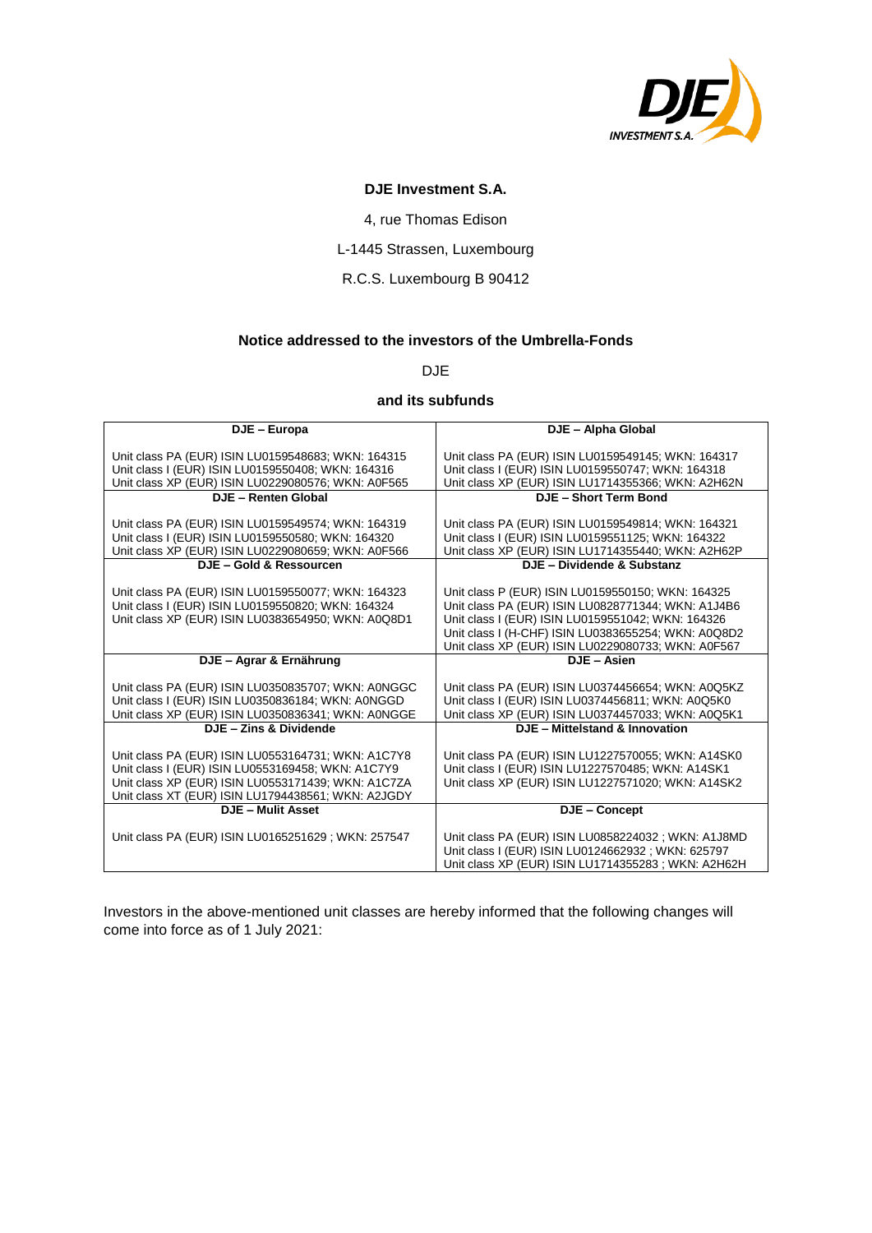

# **DJE Investment S.A.**

4, rue Thomas Edison

# L-1445 Strassen, Luxembourg

#### R.C.S. Luxembourg B 90412

## **Notice addressed to the investors of the Umbrella-Fonds**

DJE

## **and its subfunds**

| DJE - Europa                                       | DJE - Alpha Global                                  |
|----------------------------------------------------|-----------------------------------------------------|
|                                                    |                                                     |
| Unit class PA (EUR) ISIN LU0159548683; WKN: 164315 | Unit class PA (EUR) ISIN LU0159549145; WKN: 164317  |
| Unit class I (EUR) ISIN LU0159550408; WKN: 164316  | Unit class I (EUR) ISIN LU0159550747; WKN: 164318   |
| Unit class XP (EUR) ISIN LU0229080576; WKN: A0F565 | Unit class XP (EUR) ISIN LU1714355366; WKN: A2H62N  |
| DJE - Renten Global                                | DJE - Short Term Bond                               |
|                                                    |                                                     |
| Unit class PA (EUR) ISIN LU0159549574; WKN: 164319 | Unit class PA (EUR) ISIN LU0159549814; WKN: 164321  |
| Unit class I (EUR) ISIN LU0159550580; WKN: 164320  | Unit class I (EUR) ISIN LU0159551125; WKN: 164322   |
| Unit class XP (EUR) ISIN LU0229080659; WKN: A0F566 | Unit class XP (EUR) ISIN LU1714355440; WKN: A2H62P  |
| DJE - Gold & Ressourcen                            | DJE - Dividende & Substanz                          |
|                                                    |                                                     |
| Unit class PA (EUR) ISIN LU0159550077; WKN: 164323 | Unit class P (EUR) ISIN LU0159550150; WKN: 164325   |
| Unit class I (EUR) ISIN LU0159550820; WKN: 164324  | Unit class PA (EUR) ISIN LU0828771344; WKN: A1J4B6  |
| Unit class XP (EUR) ISIN LU0383654950; WKN: A0Q8D1 | Unit class I (EUR) ISIN LU0159551042; WKN: 164326   |
|                                                    | Unit class I (H-CHF) ISIN LU0383655254; WKN: A0Q8D2 |
|                                                    | Unit class XP (EUR) ISIN LU0229080733; WKN: A0F567  |
| DJE - Agrar & Ernährung                            | DJE - Asien                                         |
|                                                    |                                                     |
| Unit class PA (EUR) ISIN LU0350835707; WKN: A0NGGC | Unit class PA (EUR) ISIN LU0374456654; WKN: A0Q5KZ  |
| Unit class I (EUR) ISIN LU0350836184; WKN: A0NGGD  | Unit class I (EUR) ISIN LU0374456811; WKN: A0Q5K0   |
| Unit class XP (EUR) ISIN LU0350836341; WKN: A0NGGE | Unit class XP (EUR) ISIN LU0374457033; WKN: A0Q5K1  |
| DJE - Zins & Dividende                             | DJE - Mittelstand & Innovation                      |
| Unit class PA (EUR) ISIN LU0553164731; WKN: A1C7Y8 | Unit class PA (EUR) ISIN LU1227570055; WKN: A14SK0  |
| Unit class I (EUR) ISIN LU0553169458; WKN: A1C7Y9  | Unit class I (EUR) ISIN LU1227570485; WKN: A14SK1   |
| Unit class XP (EUR) ISIN LU0553171439; WKN: A1C7ZA | Unit class XP (EUR) ISIN LU1227571020; WKN: A14SK2  |
| Unit class XT (EUR) ISIN LU1794438561; WKN: A2JGDY |                                                     |
| <b>DJE - Mulit Asset</b>                           | DJE - Concept                                       |
|                                                    |                                                     |
| Unit class PA (EUR) ISIN LU0165251629; WKN: 257547 | Unit class PA (EUR) ISIN LU0858224032; WKN: A1J8MD  |
|                                                    | Unit class I (EUR) ISIN LU0124662932; WKN: 625797   |
|                                                    | Unit class XP (EUR) ISIN LU1714355283; WKN: A2H62H  |

Investors in the above-mentioned unit classes are hereby informed that the following changes will come into force as of 1 July 2021: